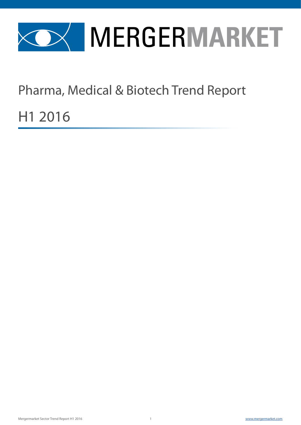

Pharma, Medical & Biotech Trend Report

H1 2016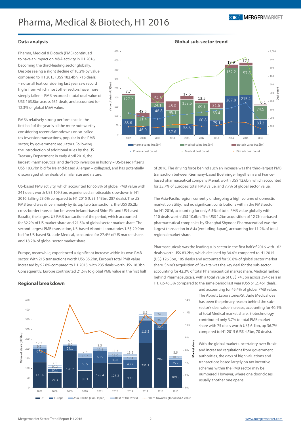450

**Value of deals (US\$bn)**

/alue of deals (US\$bn)



1,000

#### **Data analysis**

Pharma, Medical & Biotech (PMB) continued to have an impact on M&A activity in H1 2016, becoming the third-leading sector globally. Despite seeing a slight decline of 10.2% by value compared to H1 2015 (US\$ 182.4bn, 716 deals) – no small feat considering last year saw record highs from which most other sectors have more steeply fallen – PMB recorded a total deal value of US\$ 163.8bn across 631 deals, and accounted for 12.3% of global M&A value.

PMB's relatively strong performance in the first half of the year is all the more noteworthy considering recent clampdowns on so-called tax inversion transactions, popular in the PMB sector, by government regulators. Following the introduction of additional rules by the US Treasury Department in early April 2016, the

largest Pharmaceutical and de-facto inversion in history – US-based Pfizer's US\$ 183.7bn bid for Ireland-based Allergan – collapsed, and has potentially discouraged other deals of similar size and nature.

US-based PMB activity, which accounted for 66.8% of global PMB value with 241 deals worth US\$ 109.3bn, experienced a noticeable slowdown in H1 2016, falling 23.6% compared to H1 2015 (US\$ 143bn, 287 deals). The US PMB trend was driven mainly by its top two transactions: the US\$ 35.2bn cross-border transaction between Ireland-based Shire Plc and US-based Baxalta, the largest US PMB transaction of the period, which accounted for 32.2% of US market share and 21.5% of global sector market share. The second-largest PMB transaction, US-based Abbott Laboratories' US\$ 29.9bn bid for US-based St. Jude Medical, accounted for 27.4% of US market share, and 18.2% of global sector market share.

Europe, meanwhile, experienced a significant increase within its own PMB sector. With 215 transactions worth US\$ 35.2bn, Europe's total PMB value increased by 92.8% compared to H1 2015, with 235 deals worth US\$ 18.3bn. Consequently, Europe contributed 21.5% to global PMB value in the first half



**Global sub-sector trend**

of 2016. The driving force behind such an increase was the third-largest PMB transaction between Germany-based Boehringer Ingelheim and Francebased pharmaceutical company Merial, worth US\$ 12.6bn, which accounted for 35.7% of Europe's total PMB value, and 7.7% of global sector value.

The Asia-Pacific region, currently undergoing a high volume of domestic market volatility, had no significant contributions within the PMB sector for H1 2016, accounting for only 6.5% of total PMB value globally with 110 deals worth US\$ 10.6bn. The US\$ 1.2bn acquisition of 12 China-based pharmaceutical companies by Shanghai Shyndec Pharmaceutical was the largest transaction in Asia (excluding Japan), accounting for 11.2% of total regional market share.

Pharmaceuticals was the leading sub-sector in the first half of 2016 with 162 deals worth US\$ 83.2bn, which declined by 34.4% compared to H1 2015 (US\$ 126.8bn, 185 deals) and accounted for 50.8% of global sector market share. Shire's acquisition of Baxalta was the key deal for the sub-sector, accounting for 42.3% of total Pharmaceutical market share. Medical ranked behind Pharmaceuticals, with a total value of US\$ 74.5bn across 394 deals in H1, up 45.5% compared to the same period last year (US\$ 51.2, 461 deals),

> and accounting for 45.4% of global PMB value. The Abbott Laboratories/St. Jude Medical deal has been the primary reason behind the subsector's deal value increase, accounting for 40.1% of total Medical market share. Biotechnology contributed only 3.7% to total PMB market share with 75 deals worth US\$ 6.1bn, up 36.7% compared to H1 2015 (US\$ 4.5bn, 70 deals).

With the global market uncertainty over Brexit and increased regulations from government authorities, the days of high valuations and transactions based largely on tax incentive schemes within the PMB sector may be numbered. However, where one door closes, usually another one opens.

#### **Regional breakdown**



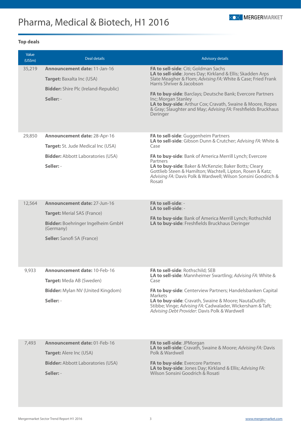### **Top deals**

| Value<br>(US\$m) | <b>Deal details</b>                                                                                                                                       | <b>Advisory details</b>                                                                                                                                                                                                                                                                                                                                                                                                         |
|------------------|-----------------------------------------------------------------------------------------------------------------------------------------------------------|---------------------------------------------------------------------------------------------------------------------------------------------------------------------------------------------------------------------------------------------------------------------------------------------------------------------------------------------------------------------------------------------------------------------------------|
| 35,219           | <b>Announcement date: 11-Jan-16</b><br>Target: Baxalta Inc (USA)<br><b>Bidder:</b> Shire Plc (Ireland-Republic)<br>Seller: -                              | FA to sell-side: Citi; Goldman Sachs<br>LA to sell-side: Jones Day; Kirkland & Ellis; Skadden Arps<br>Slate Meagher & Flom; Advising FA: White & Case; Fried Frank<br>Harris Shriver & Jacobson<br>FA to buy-side: Barclays; Deutsche Bank; Evercore Partners<br>Inc; Morgan Stanley<br>LA to buy-side: Arthur Cox; Cravath, Swaine & Moore, Ropes<br>& Gray; Slaughter and May; Advising FA: Freshfields Bruckhaus<br>Deringer |
| 29,850           | <b>Announcement date: 28-Apr-16</b><br>Target: St. Jude Medical Inc (USA)<br><b>Bidder:</b> Abbott Laboratories (USA)<br>Seller: -                        | FA to sell-side: Guggenheim Partners<br>LA to sell-side: Gibson Dunn & Crutcher; Advising FA: White &<br>Case<br>FA to buy-side: Bank of America Merrill Lynch; Evercore<br>Partners<br>LA to buy-side: Baker & McKenzie; Baker Botts; Cleary<br>Gottlieb Steen & Hamilton; Wachtell, Lipton, Rosen & Katz;<br>Advising FA: Davis Polk & Wardwell; Wilson Sonsini Goodrich &<br>Rosati                                          |
| 12,564           | Announcement date: 27-Jun-16<br><b>Target: Merial SAS (France)</b><br>Bidder: Boehringer Ingelheim GmbH<br>(Germany)<br><b>Seller:</b> Sanofi SA (France) | FA to sell-side: -<br>LA to sell-side: -<br>FA to buy-side: Bank of America Merrill Lynch; Rothschild<br>LA to buy-side: Freshfields Bruckhaus Deringer                                                                                                                                                                                                                                                                         |
| 9,933            | <b>Announcement date: 10-Feb-16</b><br>Target: Meda AB (Sweden)<br><b>Bidder:</b> Mylan NV (United Kingdom)<br>Seller: -                                  | FA to sell-side: Rothschild; SEB<br>LA to sell-side: Mannheimer Swartling; Advising FA: White &<br>Case<br>FA to buy-side: Centerview Partners; Handelsbanken Capital<br><b>Markets</b><br>LA to buy-side: Cravath, Swaine & Moore; NautaDutilh;<br>Stibbe; Vinge; Advising FA: Cadwalader, Wickersham & Taft;<br>Advising Debt Provider: Davis Polk & Wardwell                                                                 |
| 7,493            | <b>Announcement date: 01-Feb-16</b><br>Target: Alere Inc (USA)<br><b>Bidder:</b> Abbott Laboratories (USA)<br>Seller: -                                   | FA to sell-side: JPMorgan<br>LA to sell-side: Cravath, Swaine & Moore; Advising FA: Davis<br>Polk & Wardwell<br>FA to buy-side: Evercore Partners<br>LA to buy-side: Jones Day; Kirkland & Ellis; Advising FA:<br>Wilson Sonsini Goodrich & Rosati                                                                                                                                                                              |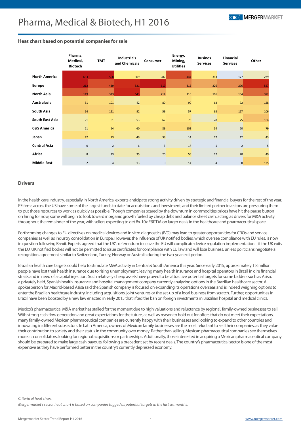|                        | Pharma,<br>Medical,<br><b>Biotech</b> | <b>TMT</b>     | Industrials<br>and Chemicals | Consumer     | Energy,<br>Mining,<br><b>Utilities</b> | <b>Busines</b><br><b>Services</b> | <b>Financial</b><br><b>Services</b> | Other |
|------------------------|---------------------------------------|----------------|------------------------------|--------------|----------------------------------------|-----------------------------------|-------------------------------------|-------|
| <b>North America</b>   | 633                                   | 508            | 309                          | 282          | 444                                    | 313                               | 177                                 | 239   |
| Europe                 | 212                                   | 439            | 521                          | 619          | 315                                    | 226                               | 296                                 | 527   |
| <b>North Asia</b>      | 149                                   | 323            | 543                          | 214          | 116                                    | 116                               | 154                                 | 372   |
| Australasia            | 51                                    | 101            | 42                           | 80           | 90                                     | 63                                | 72                                  | 128   |
| South Asia             | 54                                    | 121            | 92                           | 59           | 57                                     | 63                                | 117                                 | 106   |
| South East Asia        | 21                                    | 61             | 53                           | 62           | 76                                     | 28                                | 75                                  | 164   |
| <b>C&amp;S America</b> | 21                                    | 64             | 60                           | 89           | 102                                    | 54                                | 20                                  | 79    |
| Japan                  | 42                                    | 73             | 49                           | 39           | 14                                     | 17                                | 12                                  | 43    |
| <b>Central Asia</b>    | $\mathsf 0$                           | $\overline{2}$ | 6                            | 5            | 17                                     | $\mathbf{1}$                      | $\overline{2}$                      | 5     |
| Africa                 | 8                                     | 13             | 35                           | 20           | 56                                     | 12                                | 20                                  | 49    |
| <b>Middle East</b>     | $\overline{2}$                        | $\overline{4}$ | 13                           | $\mathbf{0}$ | 14                                     | 4                                 | $\overline{0}$                      | 125   |

#### **Heat chart based on potential companies for sale**

#### **Drivers**

In the health care industry, especially in North America, experts anticipate strong activity driven by strategic and financial buyers for the rest of the year. PE firms across the US have some of the largest funds to date for acquisitions and investment, and their limited partner investors are pressuring them to put those resources to work as quickly as possible. Though companies scared by the downturn in commodities prices have hit the pause button on hiring for now, some will begin to look toward inorganic growth fueled by cheap debt and balance sheet cash, acting as drivers for M&A activity throughout the remainder of the year, with sellers expecting to get 8x-10x EBITDA on larger deals in the healthcare and pharmaceutical space.

Forthcoming changes to EU directives on medical devices and in vitro diagnostics (IVD) may lead to greater opportunities for CROs and service companies as well as industry consolidation in Europe. However, the influence of UK notified bodies, which oversee compliance with EU rules, is now in question following Brexit. Experts agreed that the UK's referendum to leave the EU will complicate device regulation implementation – if the UK exits the EU, UK notified bodies will not be permitted to issue certificates for compliance with EU law and will lose business, unless politicians negotiate a recognition agreement similar to Switzerland, Turkey, Norway or Australia during the two-year exit period.

Brazilian health care targets could help to stimulate M&A activity in Central & South America this year. Since early 2015, approximately 1.8 million people have lost their health insurance due to rising unemployment, leaving many health insurance and hospital operators in Brazil in dire financial straits and in need of a capital injection. Such relatively cheap assets have proved to be attractive potential targets for some bidders such as Asisa, a privately held, Spanish health insurance and hospital management company currently analyzing options in the Brazilian healthcare sector. A spokesperson for Madrid-based Asisa said the Spanish company is focused on expanding its operations overseas and is indeed weighing options to enter the Brazilian healthcare industry, including acquisitions, joint ventures or the set-up of a local business from scratch. Further, opportunities in Brazil have been boosted by a new law enacted in early 2015 that lifted the ban on foreign investments in Brazilian hospital and medical clinics.

Mexico's pharmaceutical M&A market has stalled for the moment due to high valuations and reluctance by regional, family-owned businesses to sell. With strong cash flow generation and great expectations for the future, as well as reason to hold out for offers that do not meet their expectations, many family-owned Mexican pharmaceutical companies are currently happy with their businesses and looking to expand to other countries and innovating in different subsectors. In Latin America, owners of Mexican family businesses are the most reluctant to sell their companies, as they value their contribution to society and their status in the community over money. Rather than selling, Mexican pharmaceutical companies see themselves more as consolidators, looking for regional acquisitions or partnerships. Additionally, those interested in acquiring a Mexican pharmaceutical company should be prepared to make large cash payouts, following a precedent set by recent deals. The country's pharmaceutical sector is one of the most expensive as they have performed better in the country's currently depressed economy.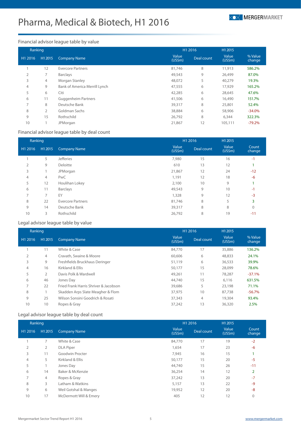

### Financial advisor league table by value

| Ranking        |                |                               | H1 2016         |            | H1 2015         |                   |  |
|----------------|----------------|-------------------------------|-----------------|------------|-----------------|-------------------|--|
| H1 2016        | H1 2015        | <b>Company Name</b>           | Value<br>(US5m) | Deal count | Value<br>(US5m) | % Value<br>change |  |
|                | 12             | <b>Evercore Partners</b>      | 81,746          | 8          | 11,913          | 586.2%            |  |
| $\overline{2}$ | 7              | <b>Barclays</b>               | 49,543          | 9          | 26,499          | 87.0%             |  |
| 3              | 4              | Morgan Stanley                | 48,072          | 5          | 40,279          | 19.3%             |  |
| $\overline{4}$ | 9              | Bank of America Merrill Lynch | 47,555          | 6          | 17,929          | 165.2%            |  |
| 5              | 6              | Citi                          | 42,285          | 6          | 28,645          | 47.6%             |  |
| 6              | 11             | <b>Guggenheim Partners</b>    | 41,506          | 6          | 16,490          | 151.7%            |  |
| $\overline{7}$ | 8              | Deutsche Bank                 | 39,317          | 8          | 25,801          | 52.4%             |  |
| 8              | $\overline{2}$ | Goldman Sachs                 | 38,884          | 6          | 58,906          | $-34.0%$          |  |
| 9              | 15             | Rothschild                    | 26,792          | 8          | 6,344           | 322.3%            |  |
| 10             |                | <b>JPMorgan</b>               | 21,867          | 12         | 105,111         | $-79.2%$          |  |

#### Financial advisor league table by deal count

| Ranking        |                |                          | H1 2016          |            | H1 2015         |                 |
|----------------|----------------|--------------------------|------------------|------------|-----------------|-----------------|
| H1 2016        | H1 2015        | <b>Company Name</b>      | Value<br>(US\$m) | Deal count | Value<br>(US5m) | Count<br>change |
|                | 5              | <b>Jefferies</b>         | 7,980            | 15         | 16              | $-1$            |
| 2              | 9              | Deloitte                 | 610              | 13         | 12              |                 |
| 3              |                | JPMorgan                 | 21,867           | 12         | 24              | $-12$           |
| $\overline{4}$ | $\overline{4}$ | PwC                      | 1,191            | 12         | 18              | $-6$            |
| 5              | 12             | Houlihan Lokey           | 2,100            | 10         | 9               |                 |
| 6              | 11             | <b>Barclays</b>          | 49,543           | 9          | 10              | $-1$            |
| $\overline{ }$ | $\overline{7}$ | EY                       | 1,328            | 9          | 12              | $-3$            |
| 8              | 22             | <b>Evercore Partners</b> | 81,746           | 8          | 5               | 3               |
| 9              | 14             | Deutsche Bank            | 39,317           | 8          | 8               | 0               |
| 10             | 3              | Rothschild               | 26,792           | 8          | 19              | $-11$           |

### Legal advisor league table by value

| Ranking        |         |                                       | H1 2016         |            | H1 2015          |                   |
|----------------|---------|---------------------------------------|-----------------|------------|------------------|-------------------|
| H1 2016        | H1 2015 | <b>Company Name</b>                   | Value<br>(US5m) | Deal count | Value<br>(US\$m) | % Value<br>change |
|                | 11      | White & Case                          | 84,770          | 17         | 35,886           | 136.2%            |
| $\overline{2}$ | 4       | Cravath, Swaine & Moore               | 60,606          | 6          | 48,833           | 24.1%             |
| 3              | 9       | Freshfields Bruckhaus Deringer        | 51,119          | 6          | 36,533           | 39.9%             |
| $\overline{4}$ | 16      | Kirkland & Ellis                      | 50,177          | 15         | 28,099           | 78.6%             |
| 5              | 2       | Davis Polk & Wardwell                 | 49,261          | 11         | 78,287           | $-37.1%$          |
| 6              | 46      | Jones Day                             | 44,740          | 15         | 6,116            | 631.5%            |
| 7              | 22      | Fried Frank Harris Shriver & Jacobson | 39,686          | 5          | 23,198           | 71.1%             |
| 8              |         | Skadden Arps Slate Meagher & Flom     | 37,975          | 10         | 87,738           | $-56.7\%$         |
| 9              | 25      | Wilson Sonsini Goodrich & Rosati      | 37,343          | 4          | 19,304           | 93.4%             |
| 10             | 10      | Ropes & Gray                          | 37,242          | 13         | 36,320           | 2.5%              |

### Legal advisor league table by deal count

| Ranking        |         |                        | H1 2016         |            | H1 2015          |                 |
|----------------|---------|------------------------|-----------------|------------|------------------|-----------------|
| H1 2016        | H1 2015 | <b>Company Name</b>    | Value<br>(US5m) | Deal count | Value<br>(US\$m) | Count<br>change |
|                | 7       | White & Case           | 84,770          | 17         | 19               | $-2$            |
| $\overline{2}$ | 2       | <b>DLA Piper</b>       | 1,654           | 17         | 23               | -6              |
| 3              | 11      | Goodwin Procter        | 7,945           | 16         | 15               |                 |
| 4              | 5       | Kirkland & Ellis       | 50,177          | 15         | 20               | $-5$            |
| 5              |         | Jones Day              | 44,740          | 15         | 26               | $-11$           |
| 6              | 14      | Baker & McKenzie       | 36,254          | 14         | 12               | $\overline{2}$  |
| $\overline{7}$ | 4       | Ropes & Gray           | 37,242          | 13         | 20               | $-7$            |
| 8              | 3       | Latham & Watkins       | 5,157           | 13         | 22               | $-9$            |
| 9              | 6       | Weil Gotshal & Manges  | 19,952          | 12         | 20               | $-8$            |
| 10             | 17      | McDermott Will & Emery | 405             | 12         | 12               | 0               |